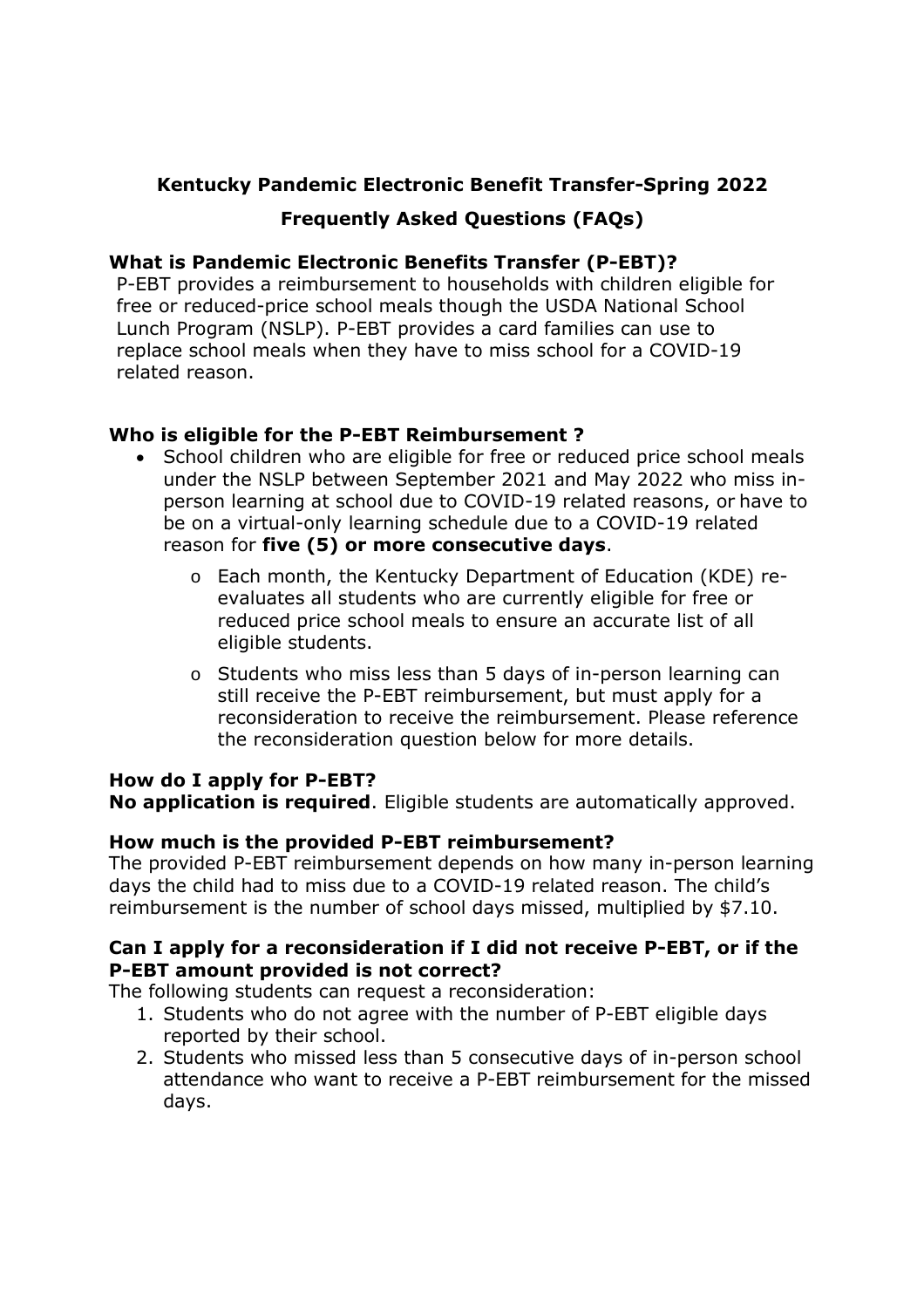## **Kentucky Pandemic Electronic Benefit Transfer-Spring 2022**

# **Frequently Asked Questions (FAQs)**

### **What is Pandemic Electronic Benefits Transfer (P-EBT)?**

P-EBT provides a reimbursement to households with children eligible for free or reduced-price school meals though the USDA National School Lunch Program (NSLP). P-EBT provides a card families can use to replace school meals when they have to miss school for a COVID-19 related reason.

### **Who is eligible for the P-EBT Reimbursement ?**

- School children who are eligible for free or reduced price school meals under the NSLP between September 2021 and May 2022 who miss inperson learning at school due to COVID-19 related reasons, or have to be on a virtual-only learning schedule due to a COVID-19 related reason for **five (5) or more consecutive days**.
	- o Each month, the Kentucky Department of Education (KDE) reevaluates all students who are currently eligible for free or reduced price school meals to ensure an accurate list of all eligible students.
	- o Students who miss less than 5 days of in-person learning can still receive the P-EBT reimbursement, but must apply for a reconsideration to receive the reimbursement. Please reference the reconsideration question below for more details.

### **How do I apply for P-EBT?**

**No application is required**. Eligible students are automatically approved.

### **How much is the provided P-EBT reimbursement?**

The provided P-EBT reimbursement depends on how many in-person learning days the child had to miss due to a COVID-19 related reason. The child's reimbursement is the number of school days missed, multiplied by \$7.10.

### **Can I apply for a reconsideration if I did not receive P-EBT, or if the P-EBT amount provided is not correct?**

The following students can request a reconsideration:

- 1. Students who do not agree with the number of P-EBT eligible days reported by their school.
- 2. Students who missed less than 5 consecutive days of in-person school attendance who want to receive a P-EBT reimbursement for the missed days.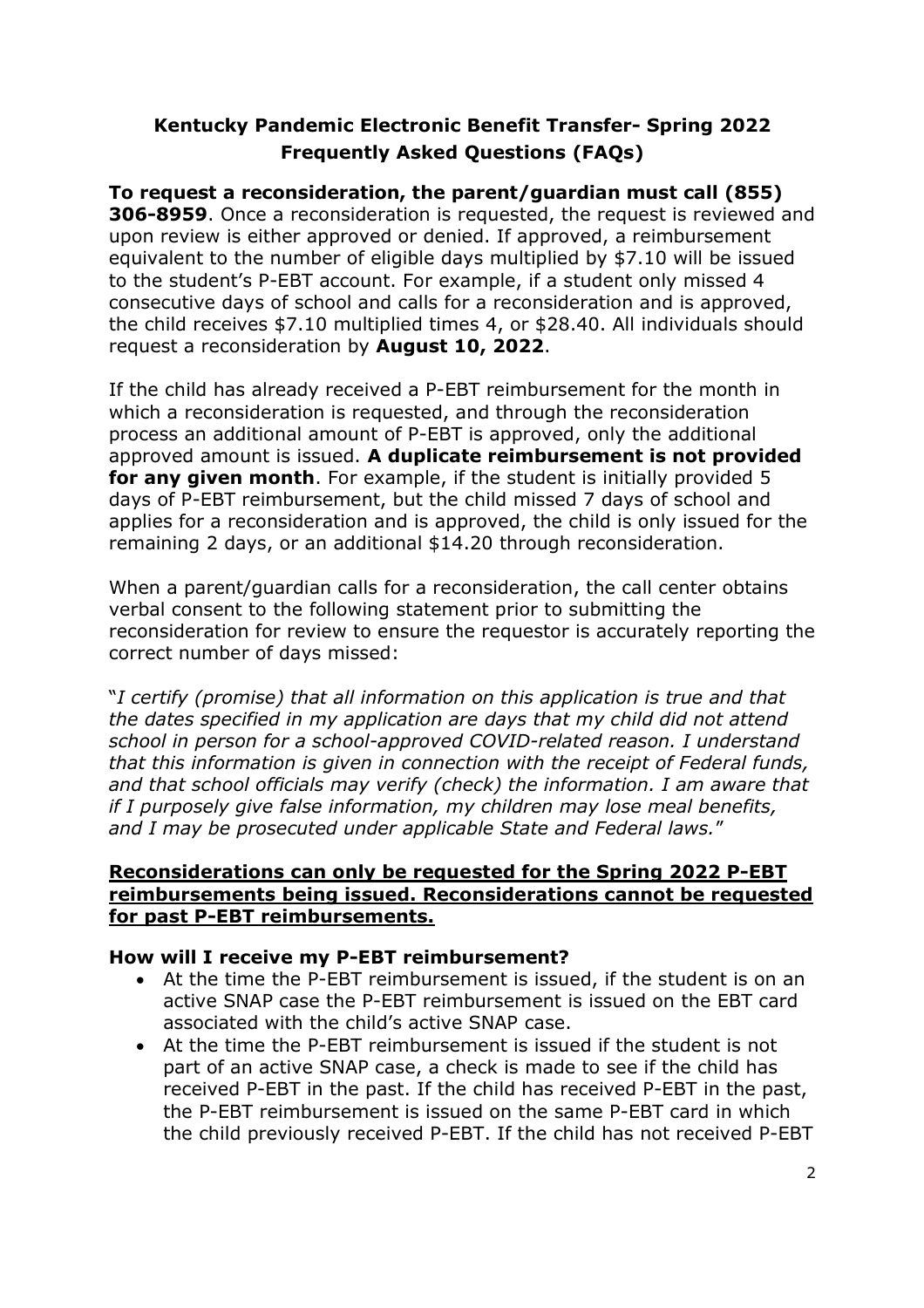**To request a reconsideration, the parent/guardian must call (855) 306-8959**. Once a reconsideration is requested, the request is reviewed and upon review is either approved or denied. If approved, a reimbursement equivalent to the number of eligible days multiplied by \$7.10 will be issued to the student's P-EBT account. For example, if a student only missed 4 consecutive days of school and calls for a reconsideration and is approved, the child receives \$7.10 multiplied times 4, or \$28.40. All individuals should request a reconsideration by **August 10, 2022**.

If the child has already received a P-EBT reimbursement for the month in which a reconsideration is requested, and through the reconsideration process an additional amount of P-EBT is approved, only the additional approved amount is issued. **A duplicate reimbursement is not provided for any given month**. For example, if the student is initially provided 5 days of P-EBT reimbursement, but the child missed 7 days of school and applies for a reconsideration and is approved, the child is only issued for the remaining 2 days, or an additional \$14.20 through reconsideration.

When a parent/guardian calls for a reconsideration, the call center obtains verbal consent to the following statement prior to submitting the reconsideration for review to ensure the requestor is accurately reporting the correct number of days missed:

"*I certify (promise) that all information on this application is true and that the dates specified in my application are days that my child did not attend school in person for a school-approved COVID-related reason. I understand that this information is given in connection with the receipt of Federal funds, and that school officials may verify (check) the information. I am aware that if I purposely give false information, my children may lose meal benefits, and I may be prosecuted under applicable State and Federal laws.*"

#### **Reconsiderations can only be requested for the Spring 2022 P-EBT reimbursements being issued. Reconsiderations cannot be requested for past P-EBT reimbursements.**

### **How will I receive my P-EBT reimbursement?**

- At the time the P-EBT reimbursement is issued, if the student is on an active SNAP case the P-EBT reimbursement is issued on the EBT card associated with the child's active SNAP case.
- At the time the P-EBT reimbursement is issued if the student is not part of an active SNAP case, a check is made to see if the child has received P-EBT in the past. If the child has received P-EBT in the past, the P-EBT reimbursement is issued on the same P-EBT card in which the child previously received P-EBT. If the child has not received P-EBT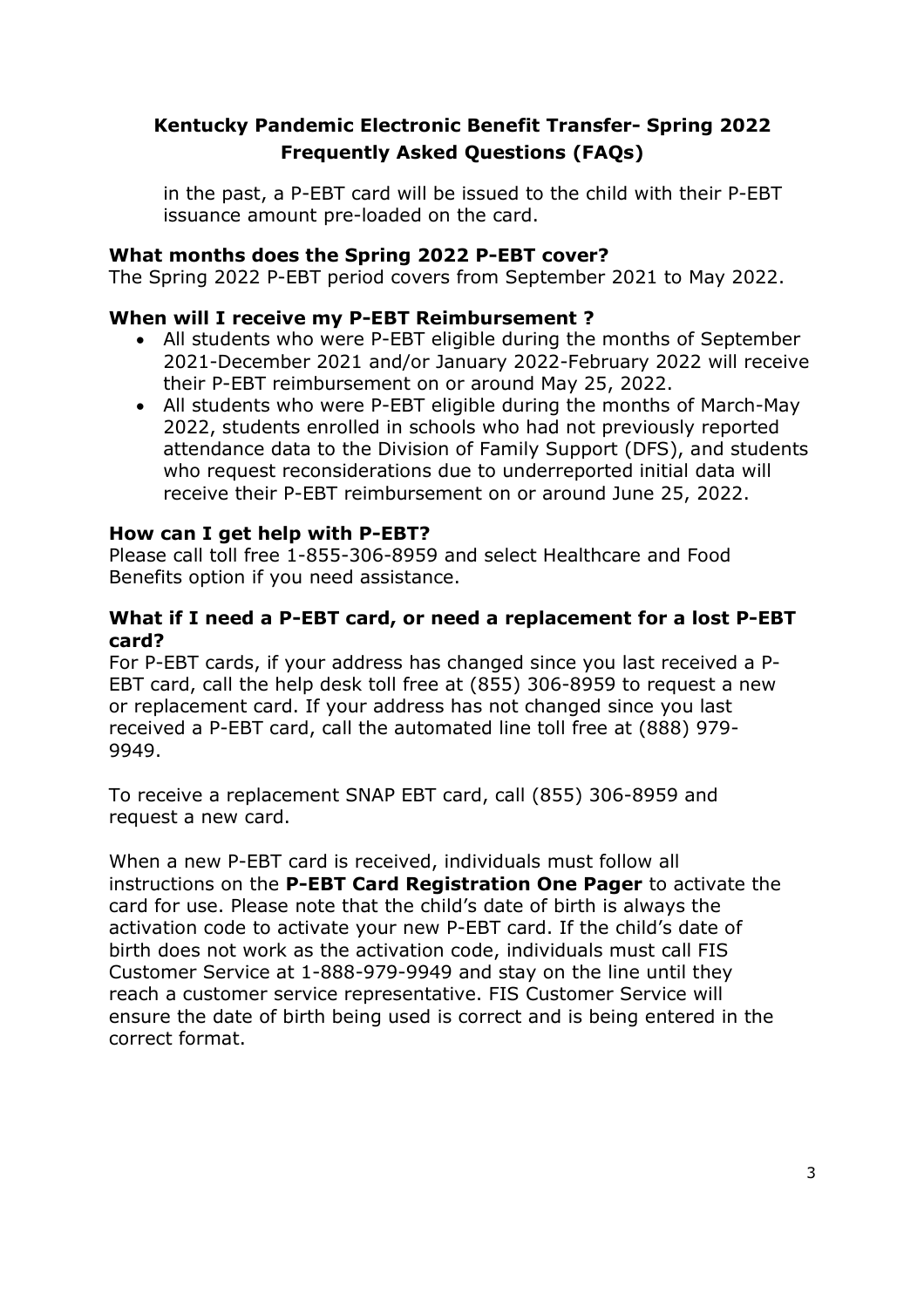in the past, a P-EBT card will be issued to the child with their P-EBT issuance amount pre-loaded on the card.

### **What months does the Spring 2022 P-EBT cover?**

The Spring 2022 P-EBT period covers from September 2021 to May 2022.

### **When will I receive my P-EBT Reimbursement ?**

- All students who were P-EBT eligible during the months of September 2021-December 2021 and/or January 2022-February 2022 will receive their P-EBT reimbursement on or around May 25, 2022.
- All students who were P-EBT eligible during the months of March-May 2022, students enrolled in schools who had not previously reported attendance data to the Division of Family Support (DFS), and students who request reconsiderations due to underreported initial data will receive their P-EBT reimbursement on or around June 25, 2022.

#### **How can I get help with P-EBT?**

Please call toll free 1-855-306-8959 and select Healthcare and Food Benefits option if you need assistance.

#### **What if I need a P-EBT card, or need a replacement for a lost P-EBT card?**

For P-EBT cards, if your address has changed since you last received a P-EBT card, call the help desk toll free at (855) 306-8959 to request a new or replacement card. If your address has not changed since you last received a P-EBT card, call the automated line toll free at (888) 979- 9949.

To receive a replacement SNAP EBT card, call (855) 306-8959 and request a new card.

When a new P-EBT card is received, individuals must follow all instructions on the **P-EBT Card Registration One Pager** to activate the card for use. Please note that the child's date of birth is always the activation code to activate your new P-EBT card. If the child's date of birth does not work as the activation code, individuals must call FIS Customer Service at 1-888-979-9949 and stay on the line until they reach a customer service representative. FIS Customer Service will ensure the date of birth being used is correct and is being entered in the correct format.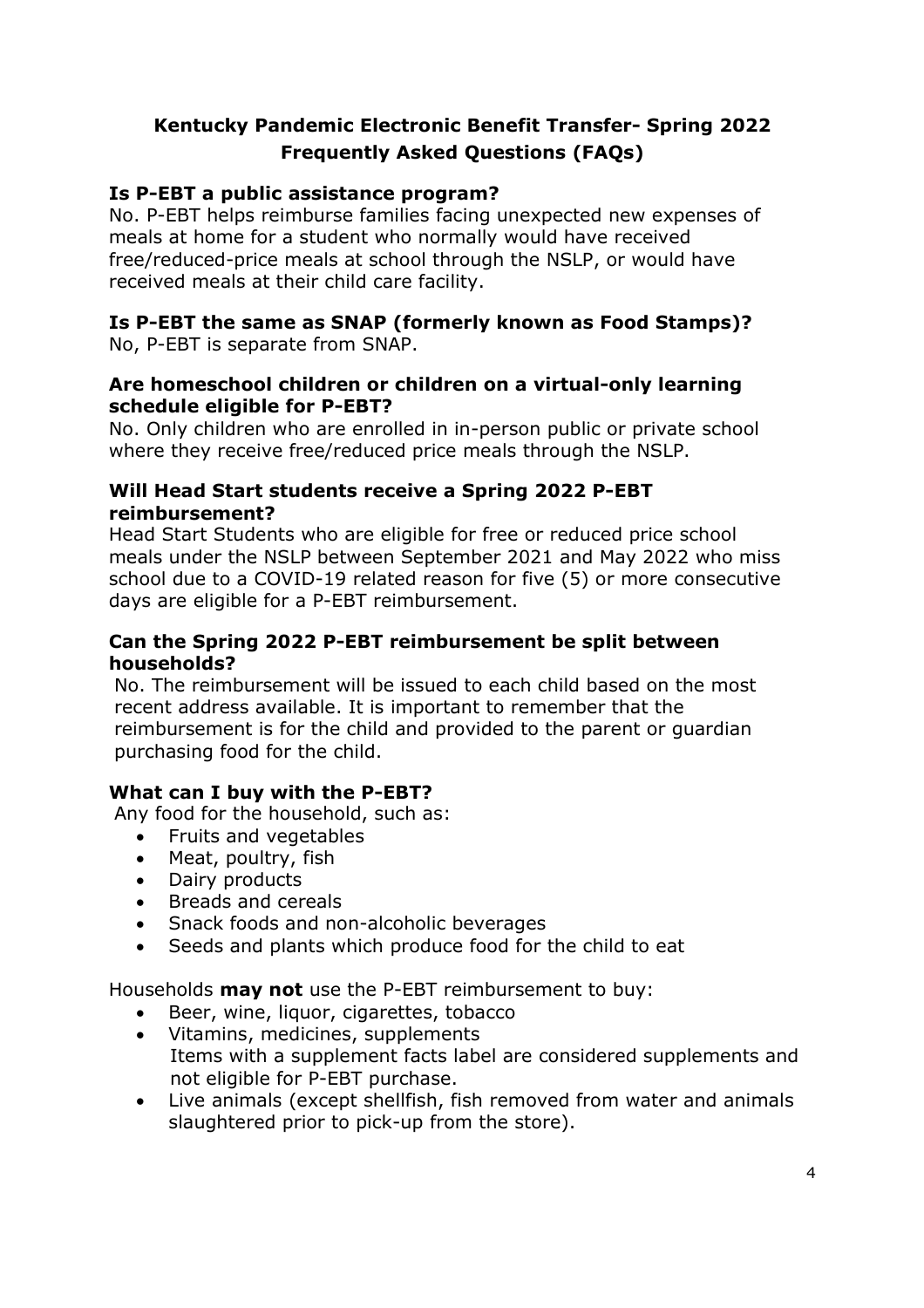## **Is P-EBT a public assistance program?**

No. P-EBT helps reimburse families facing unexpected new expenses of meals at home for a student who normally would have received free/reduced-price meals at school through the NSLP, or would have received meals at their child care facility.

# **Is P-EBT the same as SNAP (formerly known as Food Stamps)?**

No, P-EBT is separate from SNAP.

### **Are homeschool children or children on a virtual-only learning schedule eligible for P-EBT?**

No. Only children who are enrolled in in-person public or private school where they receive free/reduced price meals through the NSLP.

## **Will Head Start students receive a Spring 2022 P-EBT reimbursement?**

Head Start Students who are eligible for free or reduced price school meals under the NSLP between September 2021 and May 2022 who miss school due to a COVID-19 related reason for five (5) or more consecutive days are eligible for a P-EBT reimbursement.

## **Can the Spring 2022 P-EBT reimbursement be split between households?**

No. The reimbursement will be issued to each child based on the most recent address available. It is important to remember that the reimbursement is for the child and provided to the parent or guardian purchasing food for the child.

# **What can I buy with the P-EBT?**

Any food for the household, such as:

- Fruits and vegetables
- Meat, poultry, fish
- Dairy products
- Breads and cereals
- Snack foods and non-alcoholic beverages
- Seeds and plants which produce food for the child to eat

Households **may not** use the P-EBT reimbursement to buy:

- Beer, wine, liquor, cigarettes, tobacco
- Vitamins, medicines, supplements Items with a supplement facts label are considered supplements and not eligible for P-EBT purchase.
- Live animals (except shellfish, fish removed from water and animals slaughtered prior to pick-up from the store).